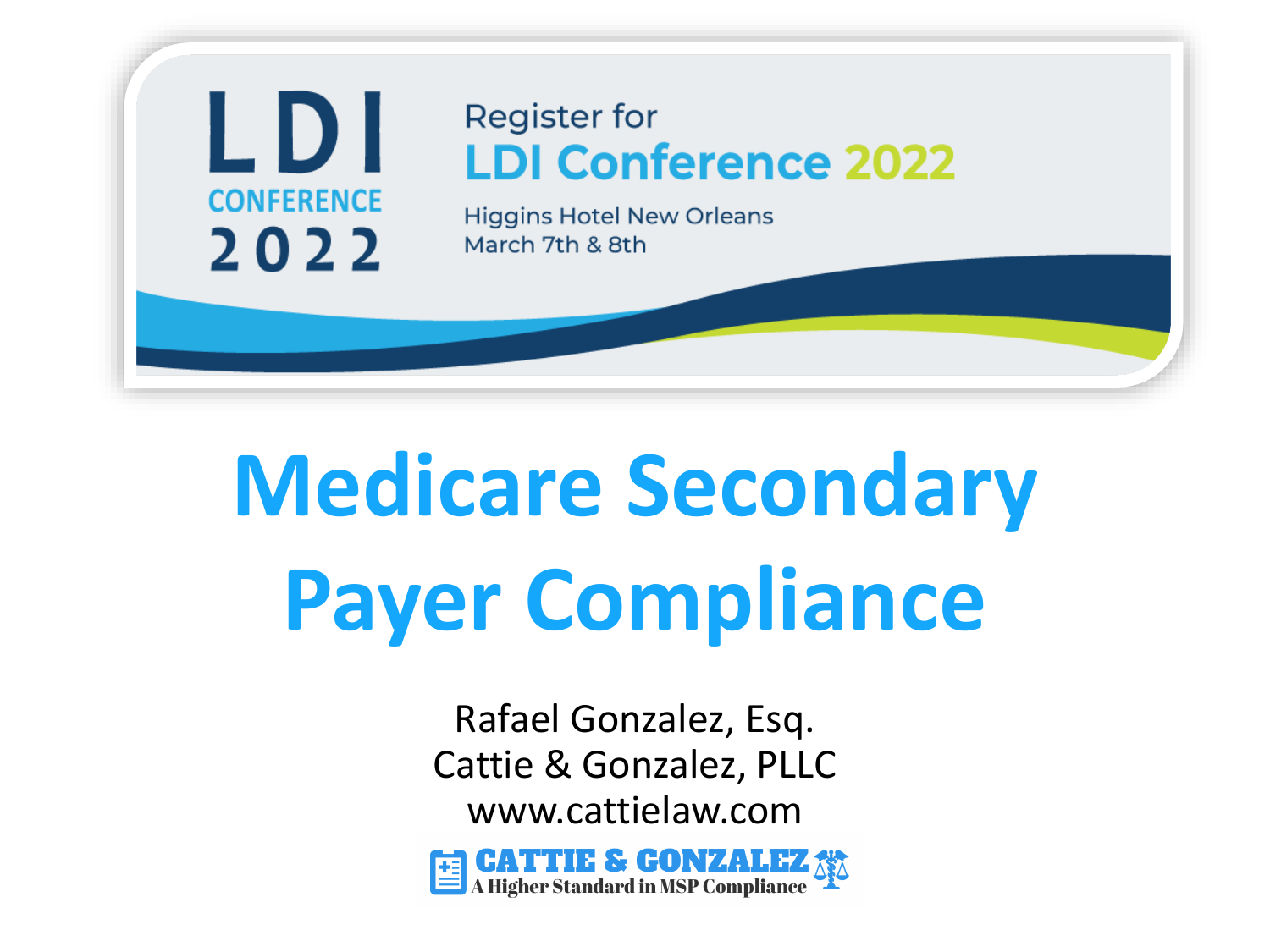

# **Medicare Secondary Payer Compliance**

Rafael Gonzalez, Esq. Cattie & Gonzalez, PLLC www.cattielaw.com

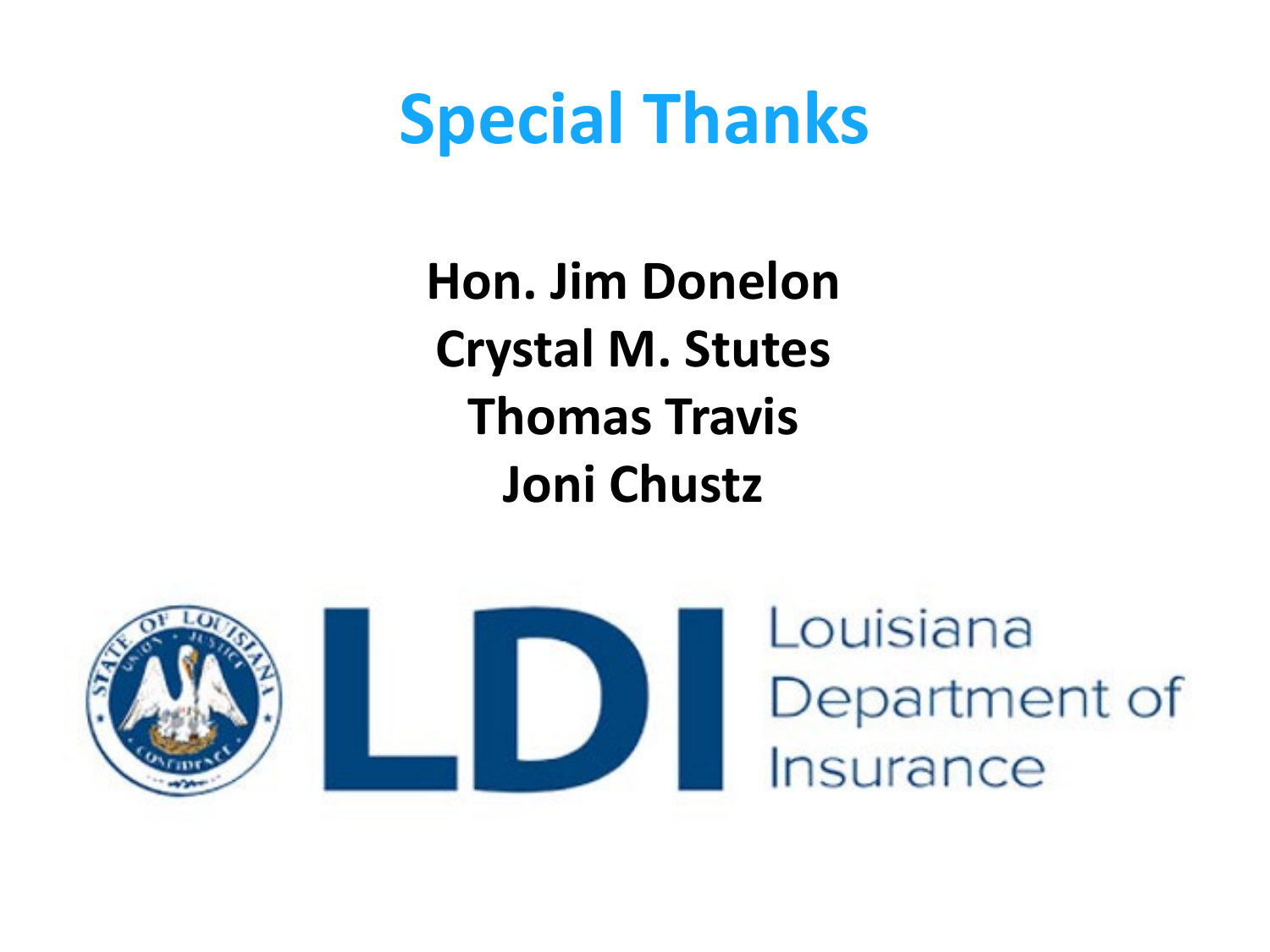### **Special Thanks**

**Hon. Jim Donelon Crystal M. Stutes Thomas Travis Joni Chustz**

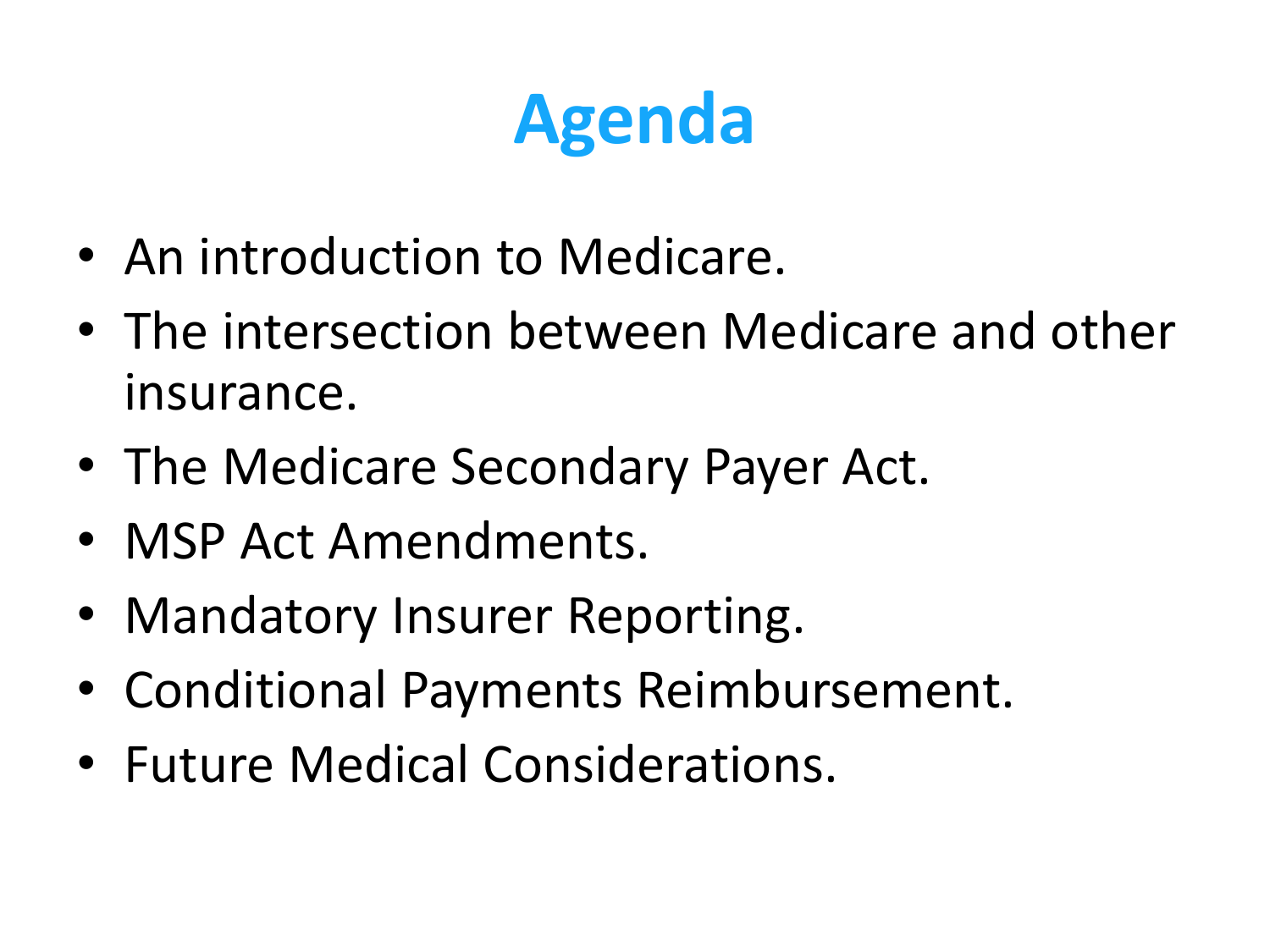# **Agenda**

- An introduction to Medicare.
- The intersection between Medicare and other insurance.
- The Medicare Secondary Payer Act.
- MSP Act Amendments.
- Mandatory Insurer Reporting.
- Conditional Payments Reimbursement.
- Future Medical Considerations.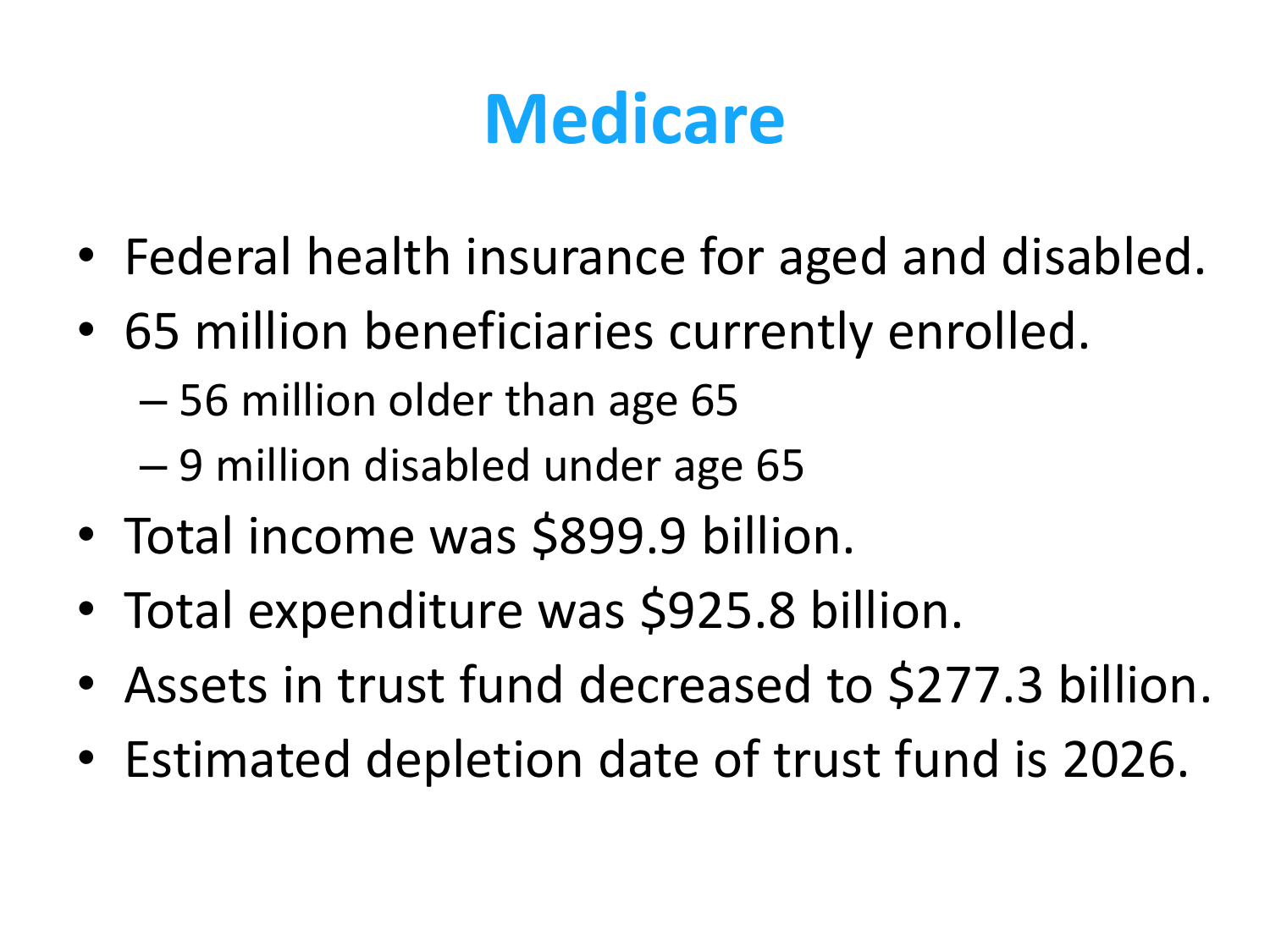# **Medicare**

- Federal health insurance for aged and disabled.
- 65 million beneficiaries currently enrolled.
	- 56 million older than age 65
	- 9 million disabled under age 65
- Total income was \$899.9 billion.
- Total expenditure was \$925.8 billion.
- Assets in trust fund decreased to \$277.3 billion.
- Estimated depletion date of trust fund is 2026.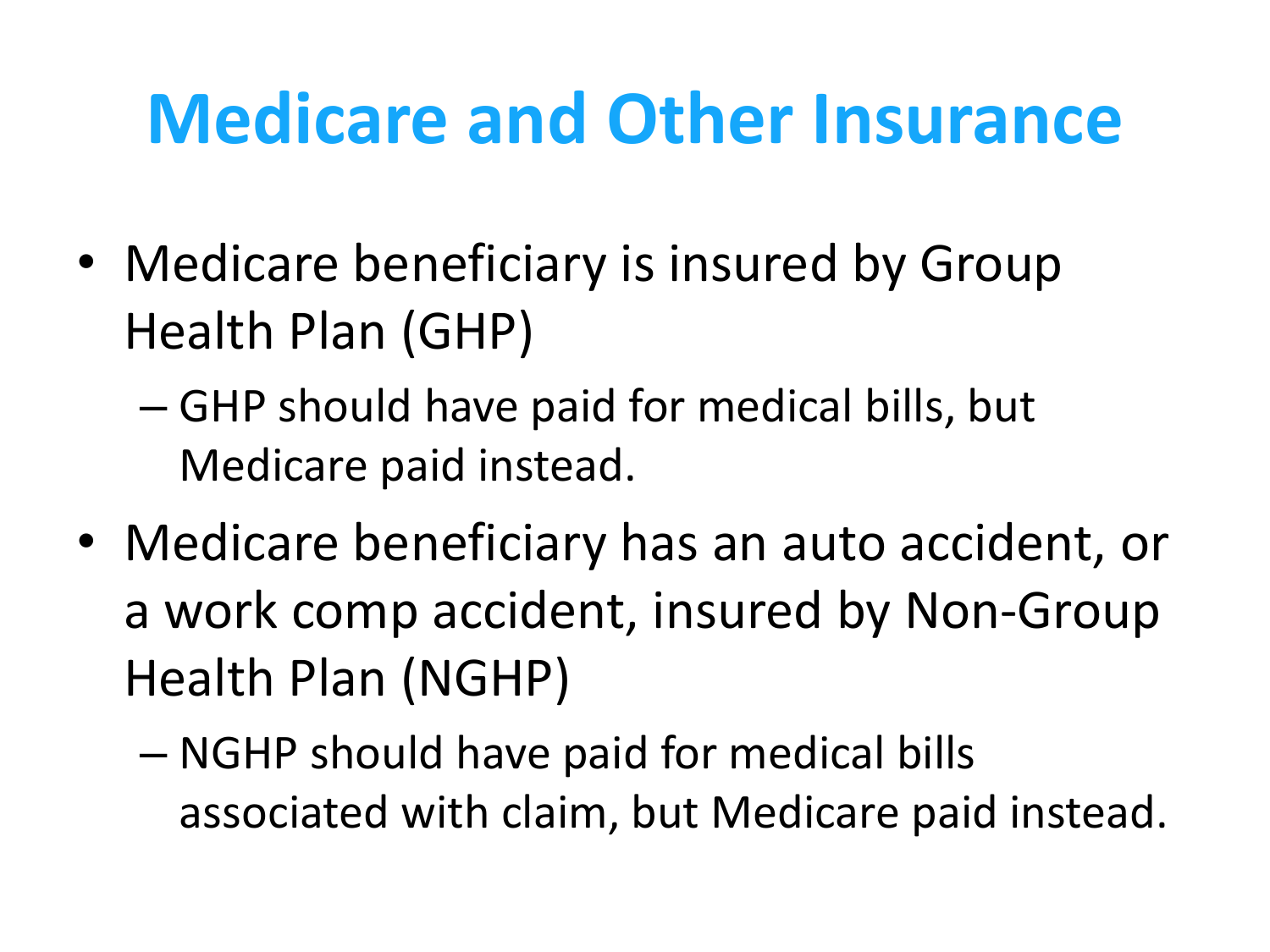# **Medicare and Other Insurance**

- Medicare beneficiary is insured by Group Health Plan (GHP)
	- GHP should have paid for medical bills, but Medicare paid instead.
- Medicare beneficiary has an auto accident, or a work comp accident, insured by Non-Group Health Plan (NGHP)
	- NGHP should have paid for medical bills associated with claim, but Medicare paid instead.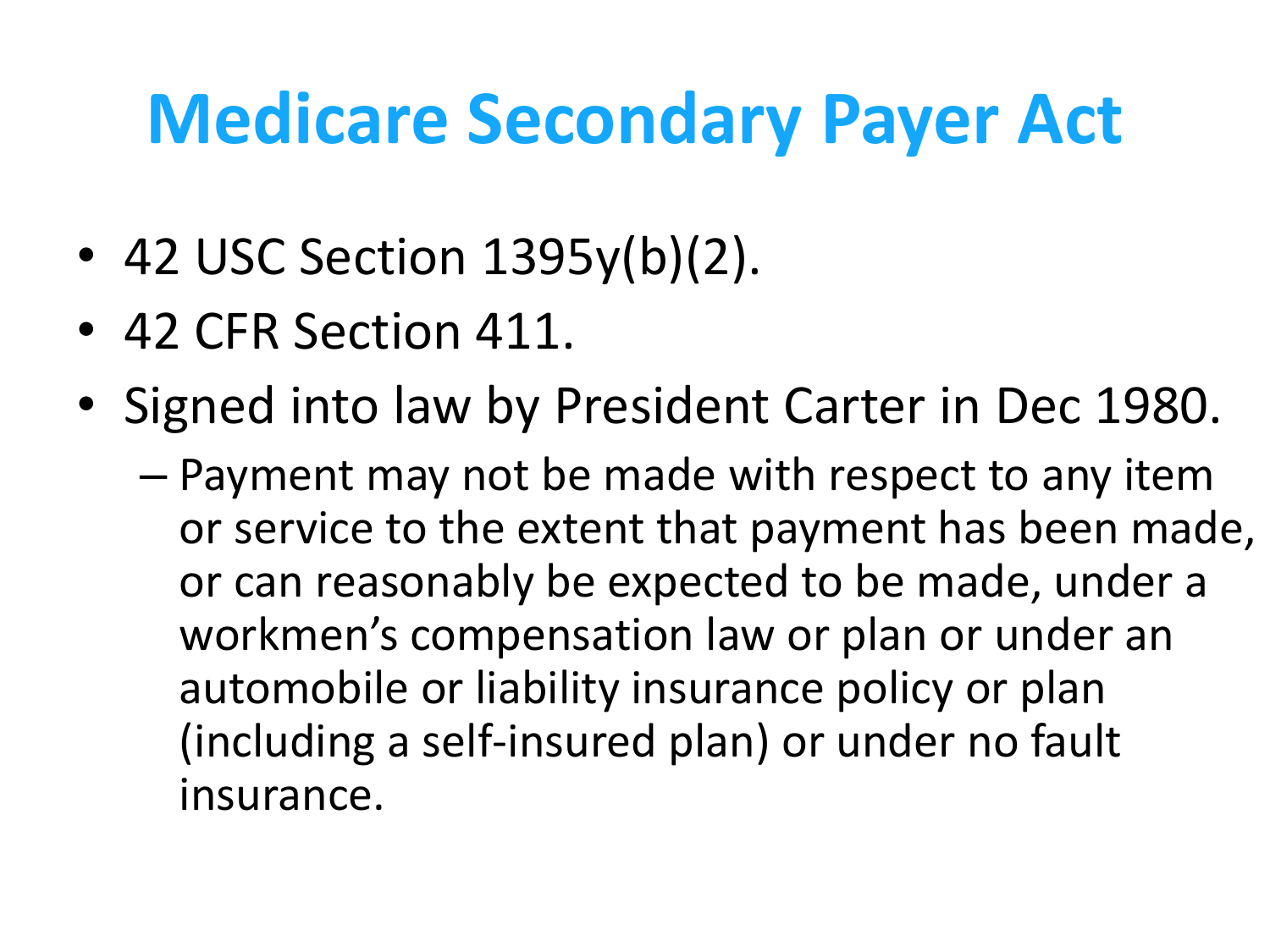## **Medicare Secondary Payer Act**

- 42 USC Section 1395y(b)(2).
- 42 CFR Section 411.
- Signed into law by President Carter in Dec 1980.
	- Payment may not be made with respect to any item or service to the extent that payment has been made, or can reasonably be expected to be made, under a workmen's compensation law or plan or under an automobile or liability insurance policy or plan (including a self-insured plan) or under no fault insurance.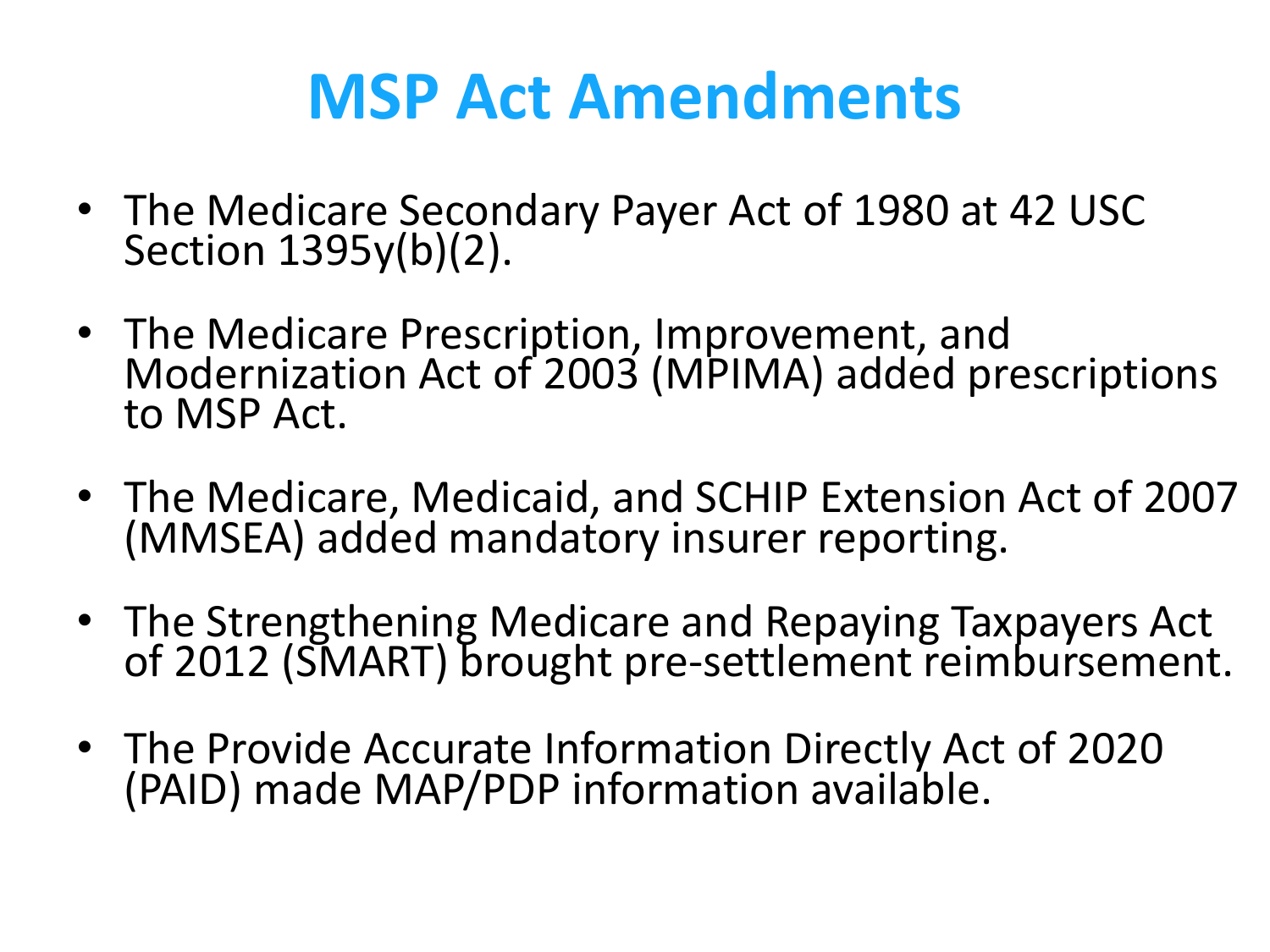#### **MSP Act Amendments**

- The Medicare Secondary Payer Act of 1980 at 42 USC Section 1395y(b)(2).
- The Medicare Prescription, Improvement, and Modernization Act of 2003 (MPIMA) added prescriptions to MSP Act.
- The Medicare, Medicaid, and SCHIP Extension Act of 2007 (MMSEA) added mandatory insurer reporting.
- The Strengthening Medicare and Repaying Taxpayers Act of 2012 (SMART) brought pre-settlement reimbursement.
- The Provide Accurate Information Directly Act of 2020 (PAID) made MAP/PDP information available.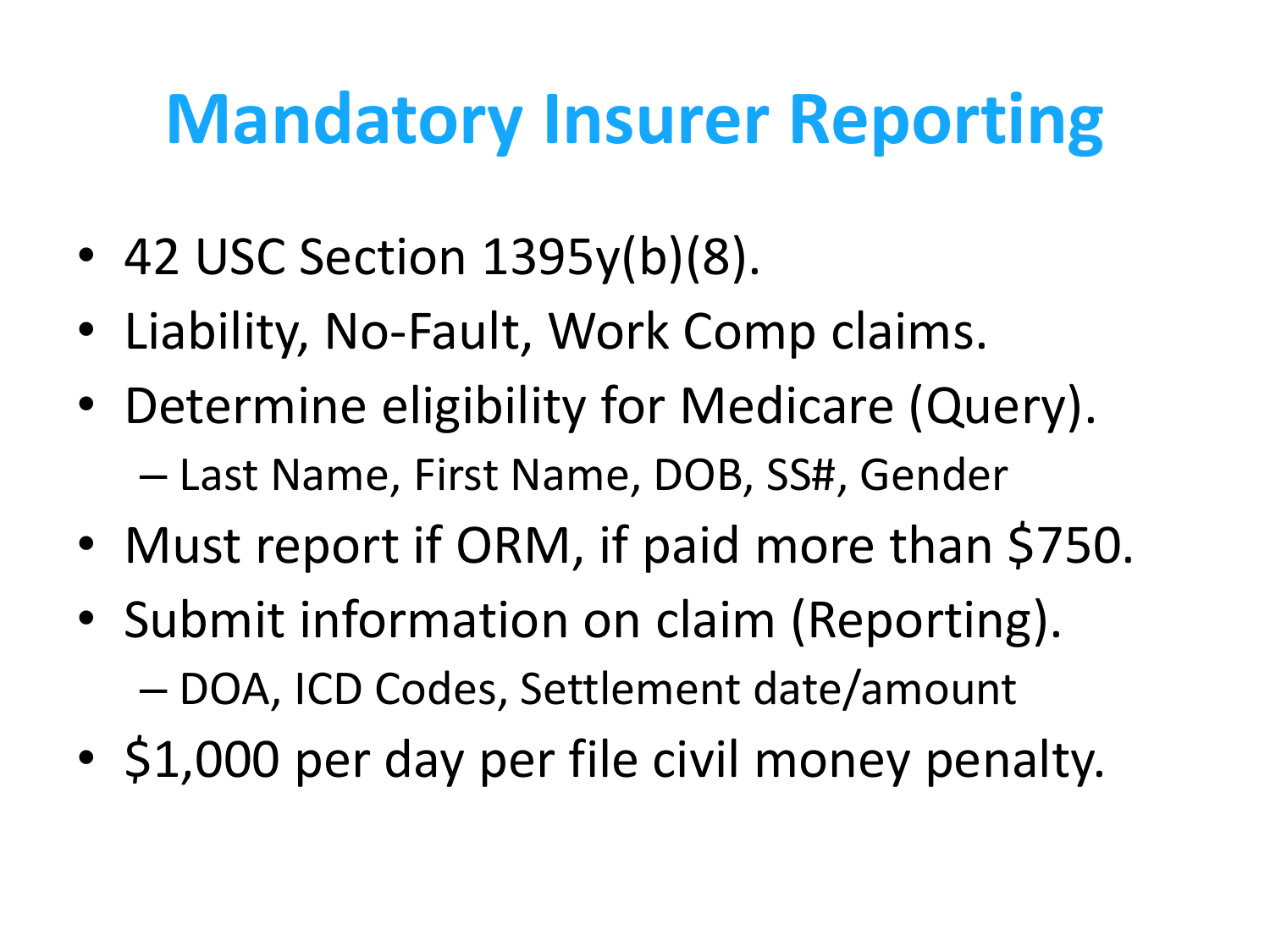# **Mandatory Insurer Reporting**

- 42 USC Section 1395y(b)(8).
- Liability, No-Fault, Work Comp claims.
- Determine eligibility for Medicare (Query). – Last Name, First Name, DOB, SS#, Gender
- Must report if ORM, if paid more than \$750.
- Submit information on claim (Reporting). – DOA, ICD Codes, Settlement date/amount
- \$1,000 per day per file civil money penalty.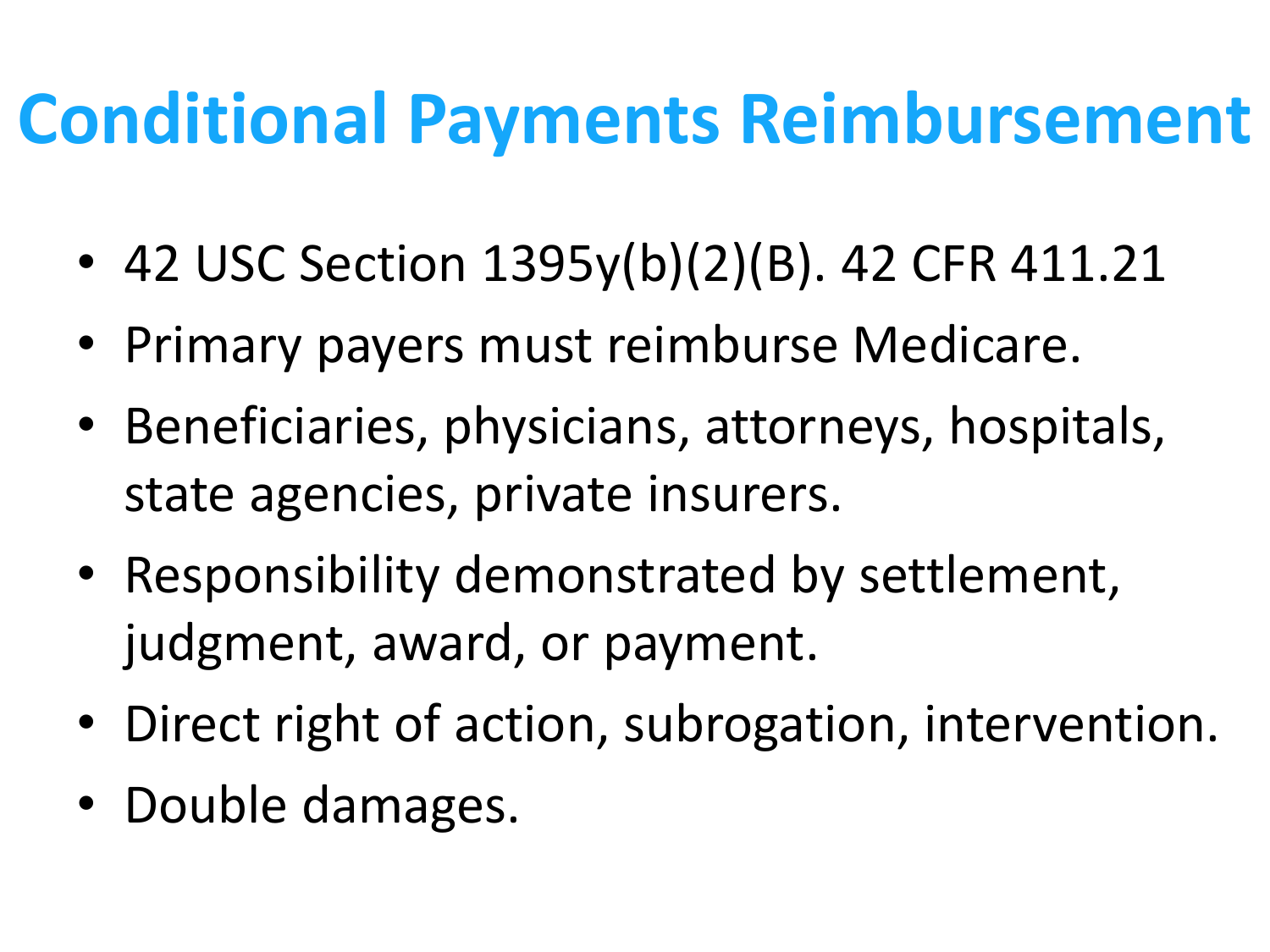## **Conditional Payments Reimbursement**

- 42 USC Section 1395y(b)(2)(B). 42 CFR 411.21
- Primary payers must reimburse Medicare.
- Beneficiaries, physicians, attorneys, hospitals, state agencies, private insurers.
- Responsibility demonstrated by settlement, judgment, award, or payment.
- Direct right of action, subrogation, intervention.
- Double damages.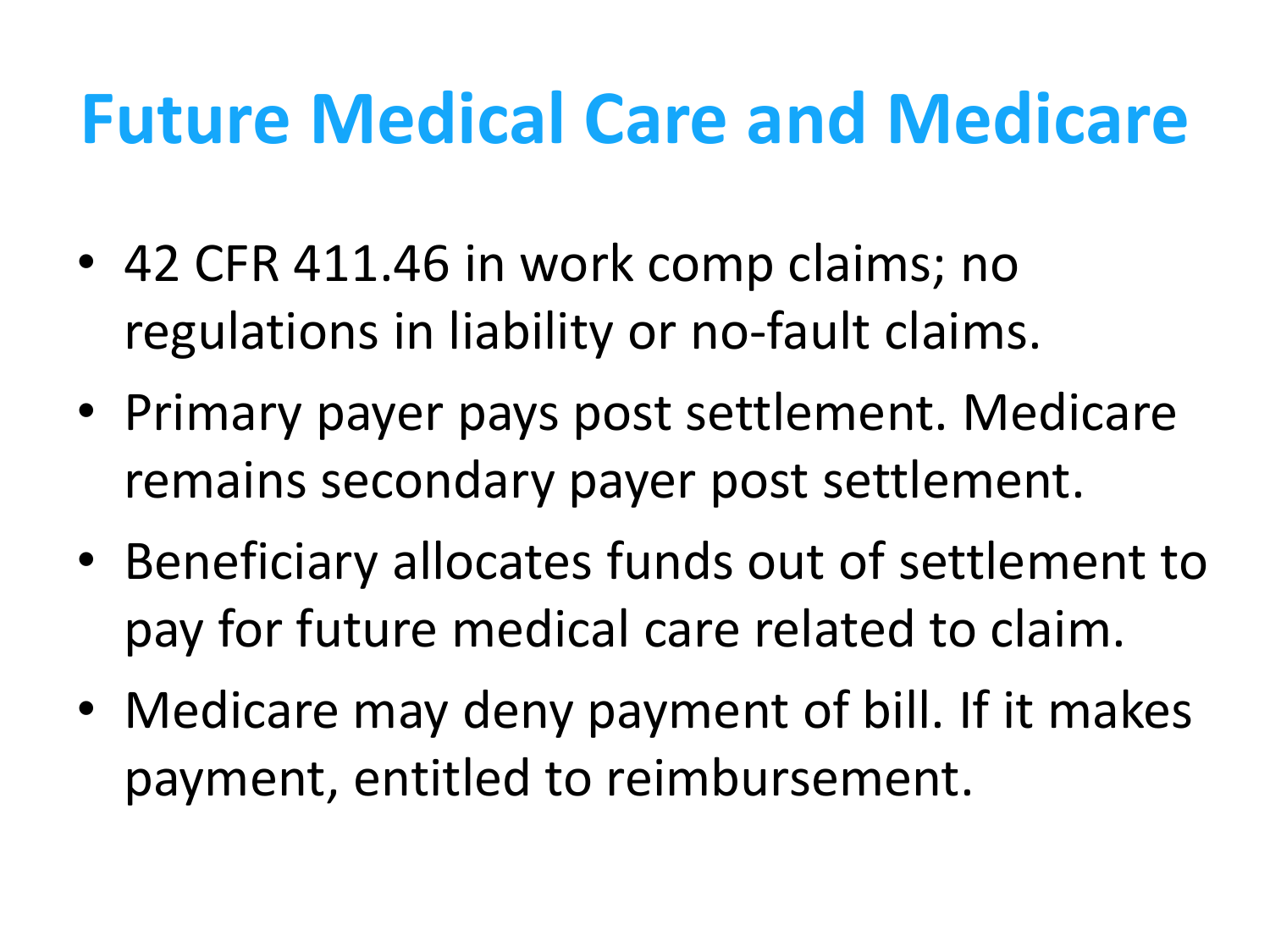## **Future Medical Care and Medicare**

- 42 CFR 411.46 in work comp claims; no regulations in liability or no-fault claims.
- Primary payer pays post settlement. Medicare remains secondary payer post settlement.
- Beneficiary allocates funds out of settlement to pay for future medical care related to claim.
- Medicare may deny payment of bill. If it makes payment, entitled to reimbursement.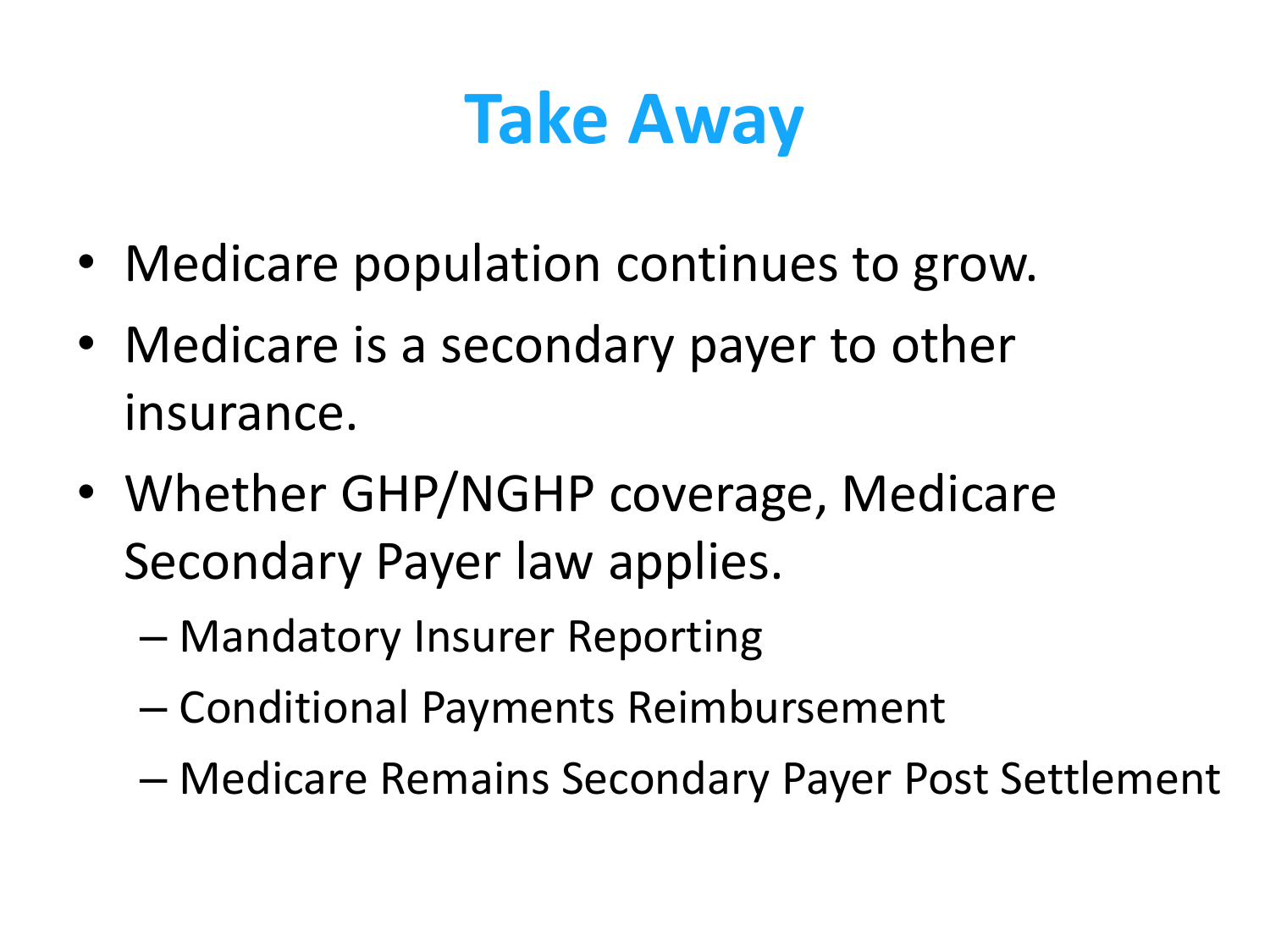# **Take Away**

- Medicare population continues to grow.
- Medicare is a secondary payer to other insurance.
- Whether GHP/NGHP coverage, Medicare Secondary Payer law applies.
	- Mandatory Insurer Reporting
	- Conditional Payments Reimbursement
	- Medicare Remains Secondary Payer Post Settlement